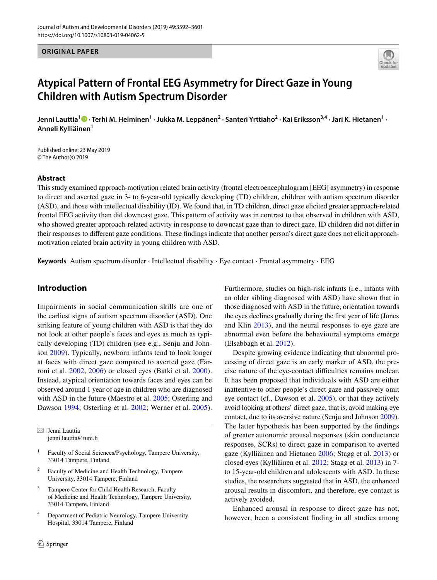### **ORIGINAL PAPER**



# **Atypical Pattern of Frontal EEG Asymmetry for Direct Gaze in Young Children with Autism Spectrum Disorder**

JenniLauttia<sup>1</sup> © · Terhi M. Helminen<sup>1</sup> · Jukka M. Leppänen<sup>2</sup> · Santeri Yrttiaho<sup>2</sup> · Kai Eriksson<sup>3,4</sup> · Jari K. Hietanen<sup>1</sup> · **Anneli Kylliäinen<sup>1</sup>**

Published online: 23 May 2019 © The Author(s) 2019

#### **Abstract**

This study examined approach-motivation related brain activity (frontal electroencephalogram [EEG] asymmetry) in response to direct and averted gaze in 3- to 6-year-old typically developing (TD) children, children with autism spectrum disorder (ASD), and those with intellectual disability (ID). We found that, in TD children, direct gaze elicited greater approach-related frontal EEG activity than did downcast gaze. This pattern of activity was in contrast to that observed in children with ASD, who showed greater approach-related activity in response to downcast gaze than to direct gaze. ID children did not difer in their responses to diferent gaze conditions. These fndings indicate that another person's direct gaze does not elicit approachmotivation related brain activity in young children with ASD.

**Keywords** Autism spectrum disorder · Intellectual disability · Eye contact · Frontal asymmetry · EEG

# **Introduction**

Impairments in social communication skills are one of the earliest signs of autism spectrum disorder (ASD). One striking feature of young children with ASD is that they do not look at other people's faces and eyes as much as typically developing (TD) children (see e.g., Senju and Johnson [2009\)](#page-9-0). Typically, newborn infants tend to look longer at faces with direct gaze compared to averted gaze (Farroni et al. [2002,](#page-8-0) [2006](#page-8-1)) or closed eyes (Batki et al. [2000](#page-7-0)). Instead, atypical orientation towards faces and eyes can be observed around 1 year of age in children who are diagnosed with ASD in the future (Maestro et al. [2005;](#page-8-2) Osterling and Dawson [1994;](#page-8-3) Osterling et al. [2002](#page-8-4); Werner et al. [2005](#page-9-1)).

 $\boxtimes$  Jenni Lauttia jenni.lauttia@tuni.f

- <sup>1</sup> Faculty of Social Sciences/Psychology, Tampere University, 33014 Tampere, Finland
- <sup>2</sup> Faculty of Medicine and Health Technology, Tampere University, 33014 Tampere, Finland
- <sup>3</sup> Tampere Center for Child Health Research, Faculty of Medicine and Health Technology, Tampere University, 33014 Tampere, Finland
- Department of Pediatric Neurology, Tampere University Hospital, 33014 Tampere, Finland

Furthermore, studies on high-risk infants (i.e., infants with an older sibling diagnosed with ASD) have shown that in those diagnosed with ASD in the future, orientation towards the eyes declines gradually during the frst year of life (Jones and Klin [2013](#page-8-5)), and the neural responses to eye gaze are abnormal even before the behavioural symptoms emerge (Elsabbagh et al. [2012](#page-8-6)).

Despite growing evidence indicating that abnormal processing of direct gaze is an early marker of ASD, the precise nature of the eye-contact difficulties remains unclear. It has been proposed that individuals with ASD are either inattentive to other people's direct gaze and passively omit eye contact (cf., Dawson et al. [2005\)](#page-8-7), or that they actively avoid looking at others' direct gaze, that is, avoid making eye contact, due to its aversive nature (Senju and Johnson [2009](#page-9-0)). The latter hypothesis has been supported by the fndings of greater autonomic arousal responses (skin conductance responses, SCRs) to direct gaze in comparison to averted gaze (Kylliäinen and Hietanen [2006](#page-8-8); Stagg et al. [2013\)](#page-9-2) or closed eyes (Kylliäinen et al. [2012;](#page-8-9) Stagg et al. [2013](#page-9-2)) in 7 to 15-year-old children and adolescents with ASD. In these studies, the researchers suggested that in ASD, the enhanced arousal results in discomfort, and therefore, eye contact is actively avoided.

Enhanced arousal in response to direct gaze has not, however, been a consistent fnding in all studies among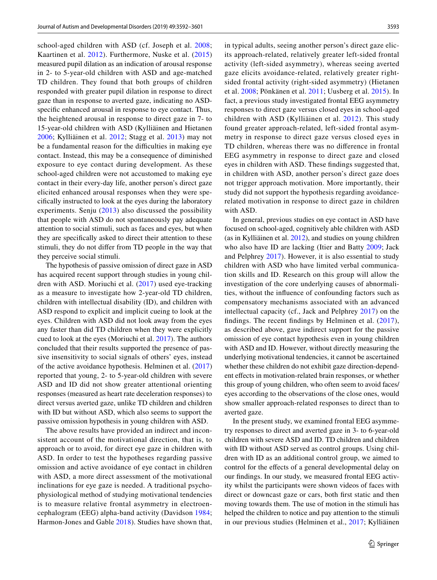school-aged children with ASD (cf. Joseph et al. [2008](#page-8-10); Kaartinen et al. [2012](#page-8-11)). Furthermore, Nuske et al. ([2015\)](#page-8-12) measured pupil dilation as an indication of arousal response in 2- to 5-year-old children with ASD and age-matched TD children. They found that both groups of children responded with greater pupil dilation in response to direct gaze than in response to averted gaze, indicating no ASDspecifc enhanced arousal in response to eye contact. Thus, the heightened arousal in response to direct gaze in 7- to 15-year-old children with ASD (Kylliäinen and Hietanen [2006;](#page-8-8) Kylliäinen et al. [2012;](#page-8-9) Stagg et al. [2013](#page-9-2)) may not be a fundamental reason for the difficulties in making eye contact. Instead, this may be a consequence of diminished exposure to eye contact during development. As these school-aged children were not accustomed to making eye contact in their every-day life, another person's direct gaze elicited enhanced arousal responses when they were specifcally instructed to look at the eyes during the laboratory experiments. Senju [\(2013](#page-9-3)) also discussed the possibility that people with ASD do not spontaneously pay adequate attention to social stimuli, such as faces and eyes, but when they are specifcally asked to direct their attention to these stimuli, they do not difer from TD people in the way that they perceive social stimuli.

The hypothesis of passive omission of direct gaze in ASD has acquired recent support through studies in young children with ASD. Moriuchi et al. ([2017\)](#page-8-13) used eye-tracking as a measure to investigate how 2-year-old TD children, children with intellectual disability (ID), and children with ASD respond to explicit and implicit cueing to look at the eyes. Children with ASD did not look away from the eyes any faster than did TD children when they were explicitly cued to look at the eyes (Moriuchi et al. [2017\)](#page-8-13). The authors concluded that their results supported the presence of passive insensitivity to social signals of others' eyes, instead of the active avoidance hypothesis. Helminen et al. ([2017\)](#page-8-14) reported that young, 2- to 5-year-old children with severe ASD and ID did not show greater attentional orienting responses (measured as heart rate deceleration responses) to direct versus averted gaze, unlike TD children and children with ID but without ASD, which also seems to support the passive omission hypothesis in young children with ASD.

The above results have provided an indirect and inconsistent account of the motivational direction, that is, to approach or to avoid, for direct eye gaze in children with ASD. In order to test the hypotheses regarding passive omission and active avoidance of eye contact in children with ASD, a more direct assessment of the motivational inclinations for eye gaze is needed. A traditional psychophysiological method of studying motivational tendencies is to measure relative frontal asymmetry in electroencephalogram (EEG) alpha-band activity (Davidson [1984](#page-8-15); Harmon-Jones and Gable [2018\)](#page-8-16). Studies have shown that,

in typical adults, seeing another person's direct gaze elicits approach-related, relatively greater left-sided frontal activity (left-sided asymmetry), whereas seeing averted gaze elicits avoidance-related, relatively greater rightsided frontal activity (right-sided asymmetry) (Hietanen et al. [2008](#page-8-17); Pönkänen et al. [2011](#page-9-4); Uusberg et al. [2015](#page-9-5)). In fact, a previous study investigated frontal EEG asymmetry responses to direct gaze versus closed eyes in school-aged children with ASD (Kylliäinen et al. [2012](#page-8-9)). This study found greater approach-related, left-sided frontal asymmetry in response to direct gaze versus closed eyes in TD children, whereas there was no diference in frontal EEG asymmetry in response to direct gaze and closed eyes in children with ASD. These fndings suggested that, in children with ASD, another person's direct gaze does not trigger approach motivation. More importantly, their study did not support the hypothesis regarding avoidancerelated motivation in response to direct gaze in children with ASD.

In general, previous studies on eye contact in ASD have focused on school-aged, cognitively able children with ASD (as in Kylliäinen et al. [2012](#page-8-9)), and studies on young children who also have ID are lacking (Itier and Batty [2009](#page-8-18); Jack and Pelphrey [2017\)](#page-8-19). However, it is also essential to study children with ASD who have limited verbal communication skills and ID. Research on this group will allow the investigation of the core underlying causes of abnormalities, without the infuence of confounding factors such as compensatory mechanisms associated with an advanced intellectual capacity (cf., Jack and Pelphrey [2017\)](#page-8-19) on the fndings. The recent fndings by Helminen et al. [\(2017](#page-8-14)), as described above, gave indirect support for the passive omission of eye contact hypothesis even in young children with ASD and ID. However, without directly measuring the underlying motivational tendencies, it cannot be ascertained whether these children do not exhibit gaze direction-dependent efects in motivation-related brain responses, or whether this group of young children, who often seem to avoid faces/ eyes according to the observations of the close ones, would show smaller approach-related responses to direct than to averted gaze.

In the present study, we examined frontal EEG asymmetry responses to direct and averted gaze in 3- to 6-year-old children with severe ASD and ID. TD children and children with ID without ASD served as control groups. Using children with ID as an additional control group, we aimed to control for the efects of a general developmental delay on our fndings. In our study, we measured frontal EEG activity whilst the participants were shown videos of faces with direct or downcast gaze or cars, both frst static and then moving towards them. The use of motion in the stimuli has helped the children to notice and pay attention to the stimuli in our previous studies (Helminen et al., [2017;](#page-8-14) Kylliäinen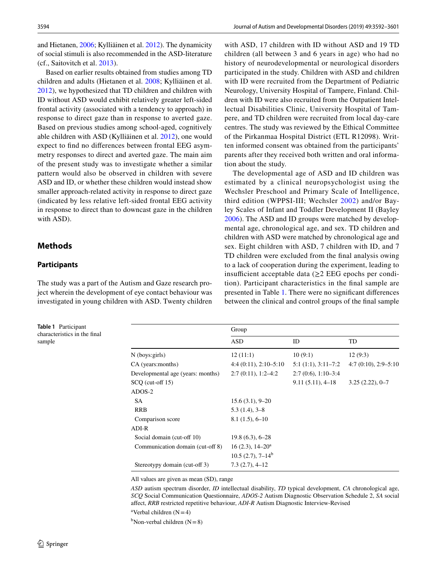and Hietanen, [2006](#page-8-8); Kylliäinen et al. [2012](#page-8-9)). The dynamicity of social stimuli is also recommended in the ASD-literature (cf., Saitovitch et al. [2013](#page-9-6)).

Based on earlier results obtained from studies among TD children and adults (Hietanen et al. [2008](#page-8-17); Kylliäinen et al. [2012](#page-8-9)), we hypothesized that TD children and children with ID without ASD would exhibit relatively greater left-sided frontal activity (associated with a tendency to approach) in response to direct gaze than in response to averted gaze. Based on previous studies among school-aged, cognitively able children with ASD (Kylliäinen et al. [2012\)](#page-8-9), one would expect to fnd no diferences between frontal EEG asymmetry responses to direct and averted gaze. The main aim of the present study was to investigate whether a similar pattern would also be observed in children with severe ASD and ID, or whether these children would instead show smaller approach-related activity in response to direct gaze (indicated by less relative left-sided frontal EEG activity in response to direct than to downcast gaze in the children with ASD).

# **Methods**

## **Participants**

The study was a part of the Autism and Gaze research project wherein the development of eye contact behaviour was investigated in young children with ASD. Twenty children

<span id="page-2-0"></span>**Table 1** Participant characteristics in the fnal sample

with ASD, 17 children with ID without ASD and 19 TD children (all between 3 and 6 years in age) who had no history of neurodevelopmental or neurological disorders participated in the study. Children with ASD and children with ID were recruited from the Department of Pediatric Neurology, University Hospital of Tampere, Finland. Children with ID were also recruited from the Outpatient Intellectual Disabilities Clinic, University Hospital of Tampere, and TD children were recruited from local day-care centres. The study was reviewed by the Ethical Committee of the Pirkanmaa Hospital District (ETL R12098). Written informed consent was obtained from the participants' parents after they received both written and oral information about the study.

The developmental age of ASD and ID children was estimated by a clinical neuropsychologist using the Wechsler Preschool and Primary Scale of Intelligence, third edition (WPPSI-III; Wechsler [2002\)](#page-9-7) and/or Bayley Scales of Infant and Toddler Development II (Bayley [2006\)](#page-7-1). The ASD and ID groups were matched by developmental age, chronological age, and sex. TD children and children with ASD were matched by chronological age and sex. Eight children with ASD, 7 children with ID, and 7 TD children were excluded from the fnal analysis owing to a lack of cooperation during the experiment, leading to insufficient acceptable data ( $\geq$ 2 EEG epochs per condition). Participant characteristics in the fnal sample are presented in Table [1.](#page-2-0) There were no signifcant diferences between the clinical and control groups of the fnal sample

|                                   | Group                  |                      |                       |
|-----------------------------------|------------------------|----------------------|-----------------------|
|                                   | <b>ASD</b>             | ID                   | TD                    |
| $N$ (boys: girls)                 | 12(11:1)               | 10(9:1)              | 12(9:3)               |
| CA (years:months)                 | $4:4(0:11), 2:10-5:10$ | $5:1(1:1), 3:11-7:2$ | $4:7(0:10), 2:9-5:10$ |
| Developmental age (years: months) | $2:7(0:11), 1:2-4:2$   | $2:7(0:6), 1:10-3:4$ |                       |
| $SCO$ (cut-off $15$ )             |                        | $9.11(5.11), 4-18$   | $3.25(2.22), 0 - 7$   |
| ADOS-2                            |                        |                      |                       |
| <b>SA</b>                         | $15.6(3.1), 9-20$      |                      |                       |
| <b>RRB</b>                        | $5.3(1.4), 3-8$        |                      |                       |
| Comparison score                  | $8.1(1.5), 6-10$       |                      |                       |
| ADI-R                             |                        |                      |                       |
| Social domain (cut-off 10)        | $19.8(6.3), 6-28$      |                      |                       |
| Communication domain (cut-off 8)  | $16(2.3), 14-20^a$     |                      |                       |
|                                   | $10.5(2.7), 7-14b$     |                      |                       |
| Stereotypy domain (cut-off 3)     | $7.3(2.7), 4-12$       |                      |                       |

All values are given as mean (SD), range

*ASD* autism spectrum disorder, *ID* intellectual disability, *TD* typical development, *CA* chronological age, *SCQ* Social Communication Questionnaire, *ADOS*-*2* Autism Diagnostic Observation Schedule 2, *SA* social afect, *RRB* restricted repetitive behaviour, *ADI*-*R* Autism Diagnostic Interview-Revised

<sup>a</sup>Verbal children  $(N=4)$ 

 $b$ Non-verbal children (N=8)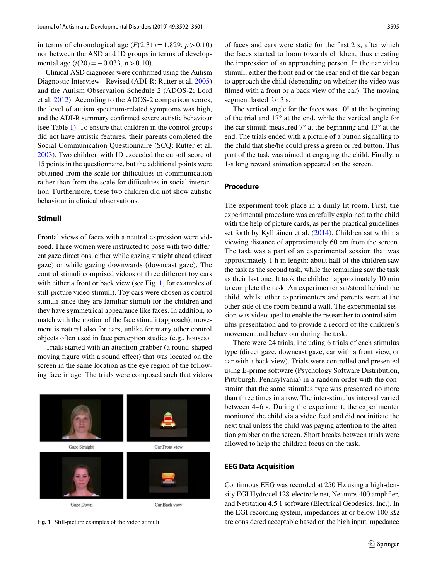in terms of chronological age  $(F(2,31)=1.829, p > 0.10)$ nor between the ASD and ID groups in terms of developmental age (*t*(20)=−0.033, *p*>0.10).

Clinical ASD diagnoses were confrmed using the Autism Diagnostic Interview - Revised (ADI-R; Rutter et al. [2005\)](#page-9-8) and the Autism Observation Schedule 2 (ADOS-2; Lord et al. [2012\)](#page-8-20). According to the ADOS-2 comparison scores, the level of autism spectrum-related symptoms was high, and the ADI-R summary confrmed severe autistic behaviour (see Table [1](#page-2-0)). To ensure that children in the control groups did not have autistic features, their parents completed the Social Communication Questionnaire (SCQ; Rutter et al. [2003](#page-9-9)). Two children with ID exceeded the cut-off score of 15 points in the questionnaire, but the additional points were obtained from the scale for difficulties in communication rather than from the scale for difficulties in social interaction. Furthermore, these two children did not show autistic behaviour in clinical observations.

#### **Stimuli**

Frontal views of faces with a neutral expression were videoed. Three women were instructed to pose with two diferent gaze directions: either while gazing straight ahead (direct gaze) or while gazing downwards (downcast gaze). The control stimuli comprised videos of three diferent toy cars with either a front or back view (see Fig. [1,](#page-3-0) for examples of still-picture video stimuli). Toy cars were chosen as control stimuli since they are familiar stimuli for the children and they have symmetrical appearance like faces. In addition, to match with the motion of the face stimuli (approach), movement is natural also for cars, unlike for many other control objects often used in face perception studies (e.g., houses).

Trials started with an attention grabber (a round-shaped moving figure with a sound effect) that was located on the screen in the same location as the eye region of the following face image. The trials were composed such that videos



of faces and cars were static for the frst 2 s, after which the faces started to loom towards children, thus creating the impression of an approaching person. In the car video stimuli, either the front end or the rear end of the car began to approach the child (depending on whether the video was flmed with a front or a back view of the car). The moving segment lasted for 3 s.

The vertical angle for the faces was  $10^{\circ}$  at the beginning of the trial and 17° at the end, while the vertical angle for the car stimuli measured  $7^\circ$  at the beginning and  $13^\circ$  at the end. The trials ended with a picture of a button signalling to the child that she/he could press a green or red button. This part of the task was aimed at engaging the child. Finally, a 1-s long reward animation appeared on the screen.

## **Procedure**

The experiment took place in a dimly lit room. First, the experimental procedure was carefully explained to the child with the help of picture cards, as per the practical guidelines set forth by Kylliäinen et al. [\(2014\)](#page-8-21). Children sat within a viewing distance of approximately 60 cm from the screen. The task was a part of an experimental session that was approximately 1 h in length: about half of the children saw the task as the second task, while the remaining saw the task as their last one. It took the children approximately 10 min to complete the task. An experimenter sat/stood behind the child, whilst other experimenters and parents were at the other side of the room behind a wall. The experimental session was videotaped to enable the researcher to control stimulus presentation and to provide a record of the children's movement and behaviour during the task.

There were 24 trials, including 6 trials of each stimulus type (direct gaze, downcast gaze, car with a front view, or car with a back view). Trials were controlled and presented using E-prime software (Psychology Software Distribution, Pittsburgh, Pennsylvania) in a random order with the constraint that the same stimulus type was presented no more than three times in a row. The inter-stimulus interval varied between 4–6 s. During the experiment, the experimenter monitored the child via a video feed and did not initiate the next trial unless the child was paying attention to the attention grabber on the screen. Short breaks between trials were allowed to help the children focus on the task.

#### **EEG Data Acquisition**

<span id="page-3-0"></span>Continuous EEG was recorded at 250 Hz using a high-density EGI Hydrocel 128-electrode net, Netamps 400 amplifer, and Netstation 4.5.1 software (Electrical Geodesics, Inc.). In the EGI recording system, impedances at or below 100 kΩ **Fig. 1** Still-picture examples of the video stimuli are considered acceptable based on the high input impedance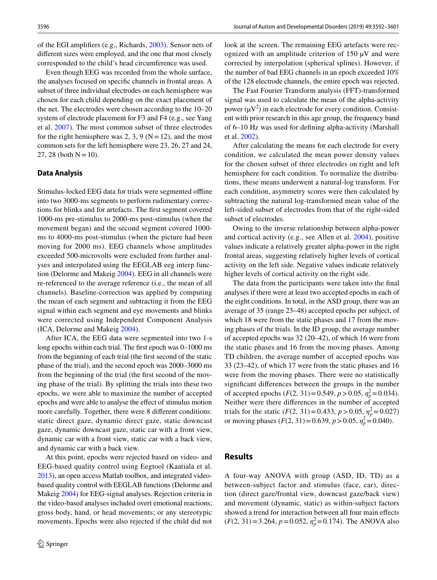Even though EEG was recorded from the whole surface, the analyses focused on specifc channels in frontal areas. A subset of three individual electrodes on each hemisphere was chosen for each child depending on the exact placement of the net. The electrodes were chosen according to the 10–20 system of electrode placement for F3 and F4 (e.g., see Yang et al. [2007\)](#page-9-11). The most common subset of three electrodes for the right hemisphere was 2, 3, 9 ( $N=12$ ), and the most common sets for the left hemisphere were 23, 26, 27 and 24, 27, 28 (both  $N=10$ ).

# **Data Analysis**

Stimulus-locked EEG data for trials were segmented ofine into two 3000-ms segments to perform rudimentary corrections for blinks and for artefacts. The frst segment covered 1000-ms pre-stimulus to 2000-ms post-stimulus (when the movement began) and the second segment covered 1000 ms to 4000-ms post-stimulus (when the picture had been moving for 2000 ms). EEG channels whose amplitudes exceeded 500-microvolts were excluded from further analyses and interpolated using the EEGLAB eeg interp function (Delorme and Makeig [2004\)](#page-8-22). EEG in all channels were re-referenced to the average reference (i.e., the mean of all channels). Baseline-correction was applied by computing the mean of each segment and subtracting it from the EEG signal within each segment and eye movements and blinks were corrected using Independent Component Analysis (ICA, Delorme and Makeig [2004\)](#page-8-22).

After ICA, the EEG data were segmented into two 1-s long epochs within each trial. The first epoch was 0–1000 ms from the beginning of each trial (the frst second of the static phase of the trial), and the second epoch was 2000–3000 ms from the beginning of the trial (the frst second of the moving phase of the trial). By splitting the trials into these two epochs, we were able to maximize the number of accepted epochs and were able to analyse the efect of stimulus motion more carefully. Together, there were 8 diferent conditions: static direct gaze, dynamic direct gaze, static downcast gaze, dynamic downcast gaze, static car with a front view, dynamic car with a front view, static car with a back view, and dynamic car with a back view.

At this point, epochs were rejected based on video- and EEG-based quality control using Eegtool (Kaatiala et al. [2013\)](#page-8-23), an open access Matlab toolbox, and integrated videobased quality control with EEGLAB functions (Delorme and Makeig [2004\)](#page-8-22) for EEG-signal analyses. Rejection criteria in the video-based analyses included overt emotional reactions; gross body, hand, or head movements; or any stereotypic movements. Epochs were also rejected if the child did not look at the screen. The remaining EEG artefacts were recognized with an amplitude criterion of 150 µV and were corrected by interpolation (spherical splines). However, if the number of bad EEG channels in an epoch exceeded 10% of the 128 electrode channels, the entire epoch was rejected.

The Fast Fourier Transform analysis (FFT)-transformed signal was used to calculate the mean of the alpha-activity power  $(\mu V^2)$  in each electrode for every condition. Consistent with prior research in this age group, the frequency band of 6–10 Hz was used for defning alpha-activity (Marshall et al. [2002](#page-8-24)).

After calculating the means for each electrode for every condition, we calculated the mean power density values for the chosen subset of three electrodes on right and left hemisphere for each condition. To normalize the distributions, these means underwent a natural-log transform. For each condition, asymmetry scores were then calculated by subtracting the natural log-transformed mean value of the left-sided subset of electrodes from that of the right-sided subset of electrodes.

Owing to the inverse relationship between alpha-power and cortical activity (e.g., see Allen et al. [2004\)](#page-7-2), positive values indicate a relatively greater alpha-power in the right frontal areas, suggesting relatively higher levels of cortical activity on the left side. Negative values indicate relatively higher levels of cortical activity on the right side.

The data from the participants were taken into the fnal analyses if there were at least two accepted epochs in each of the eight conditions. In total, in the ASD group, there was an average of 35 (range 23–48) accepted epochs per subject, of which 18 were from the static phases and 17 from the moving phases of the trials. In the ID group, the average number of accepted epochs was 32 (20–42), of which 16 were from the static phases and 16 from the moving phases. Among TD children, the average number of accepted epochs was 33 (23–42), of which 17 were from the static phases and 16 were from the moving phases. There were no statistically signifcant diferences between the groups in the number of accepted epochs  $(F(2, 31)=0.549, p>0.05, \eta_p^2=0.034)$ . Neither were there diferences in the number of accepted trials for the static  $(F(2, 31)=0.433, p > 0.05, \eta_p^2 = 0.027)$ or moving phases  $(F(2, 31)=0.639, p>0.05, \eta_p^2=0.040)$ .

# **Results**

A four-way ANOVA with group (ASD, ID, TD) as a between-subject factor and stimulus (face, car), direction (direct gaze/frontal view, downcast gaze/back view) and movement (dynamic, static) as within-subject factors showed a trend for interaction between all four main efects  $(F(2, 31)) = 3.264$ ,  $p = 0.052$ ,  $\eta_p^2 = 0.174$ ). The ANOVA also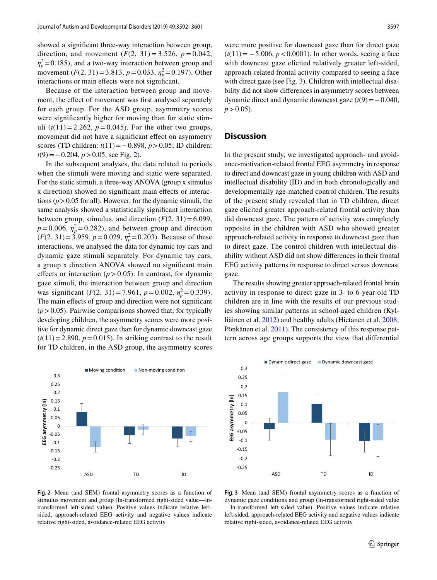showed a signifcant three-way interaction between group, direction, and movement  $(F(2, 31) = 3.526, p = 0.042,$  $\eta_p^2$ =0.185), and a two-way interaction between group and movement  $(F(2, 31)) = 3.813$ ,  $p = 0.033$ ,  $\eta_p^2 = 0.197$ ). Other interactions or main efects were not signifcant.

Because of the interaction between group and movement, the effect of movement was first analysed separately for each group. For the ASD group, asymmetry scores were signifcantly higher for moving than for static stimuli  $(t(11) = 2.262, p = 0.045)$ . For the other two groups, movement did not have a significant effect on asymmetry scores (TD children: *t*(11) = −0.898, *p* > 0.05; ID children: *t*(9) = −0.204, *p* > 0.05, see Fig. [2](#page-5-0)).

In the subsequent analyses, the data related to periods when the stimuli were moving and static were separated. For the static stimuli, a three-way ANOVA (group x stimulus x direction) showed no signifcant main efects or interactions (*p*>0.05 for all). However, for the dynamic stimuli, the same analysis showed a statistically signifcant interaction between group, stimulus, and direction  $(F(2, 31)) = 6.099$ ,  $p = 0.006$ ,  $\eta_p^2 = 0.282$ ), and between group and direction  $(F(2, 31)) = 3.959$ ,  $p = 0.029$ ,  $\eta_p^2 = 0.203$ ). Because of these interactions, we analysed the data for dynamic toy cars and dynamic gaze stimuli separately. For dynamic toy cars, a group x direction ANOVA showed no signifcant main effects or interaction  $(p > 0.05)$ . In contrast, for dynamic gaze stimuli, the interaction between group and direction was significant  $(F(2, 31) = 7.961, p = 0.002, \eta_p^2 = 0.339)$ . The main effects of group and direction were not significant  $(p>0.05)$ . Pairwise comparisons showed that, for typically developing children, the asymmetry scores were more positive for dynamic direct gaze than for dynamic downcast gaze  $(t(11)=2.890, p=0.015)$ . In striking contrast to the result for TD children, in the ASD group, the asymmetry scores

were more positive for downcast gaze than for direct gaze  $(t(11) = -5.006, p < 0.0001)$ . In other words, seeing a face with downcast gaze elicited relatively greater left-sided, approach-related frontal activity compared to seeing a face with direct gaze (see Fig. [3\)](#page-5-1). Children with intellectual disability did not show diferences in asymmetry scores between dynamic direct and dynamic downcast gaze  $(t(9) = -0.040$ ,  $p > 0.05$ ).

## **Discussion**

In the present study, we investigated approach- and avoidance-motivation-related frontal EEG asymmetry in response to direct and downcast gaze in young children with ASD and intellectual disability (ID) and in both chronologically and developmentally age-matched control children. The results of the present study revealed that in TD children, direct gaze elicited greater approach-related frontal activity than did downcast gaze. The pattern of activity was completely opposite in the children with ASD who showed greater approach-related activity in response to downcast gaze than to direct gaze. The control children with intellectual disability without ASD did not show diferences in their frontal EEG activity patterns in response to direct versus downcast gaze.

The results showing greater approach-related frontal brain activity in response to direct gaze in 3- to 6-year-old TD children are in line with the results of our previous studies showing similar patterns in school-aged children (Kylliäinen et al. [2012](#page-8-9)) and healthy adults (Hietanen et al. [2008](#page-8-17); Pönkänen et al. [2011](#page-9-4)). The consistency of this response pattern across age groups supports the view that diferential





<span id="page-5-0"></span>**Fig. 2** Mean (and SEM) frontal asymmetry scores as a function of stimulus movement and group (ln-transformed right-sided value—lntransformed left-sided value). Positive values indicate relative leftsided, approach-related EEG activity and negative values indicate relative right-sided, avoidance-related EEG activity

<span id="page-5-1"></span>**Fig. 3** Mean (and SEM) frontal asymmetry scores as a function of dynamic gaze conditions and group (ln-transformed right-sided value – ln-transformed left-sided value). Positive values indicate relative left-sided, approach-related EEG activity and negative values indicate relative right-sided, avoidance-related EEG activity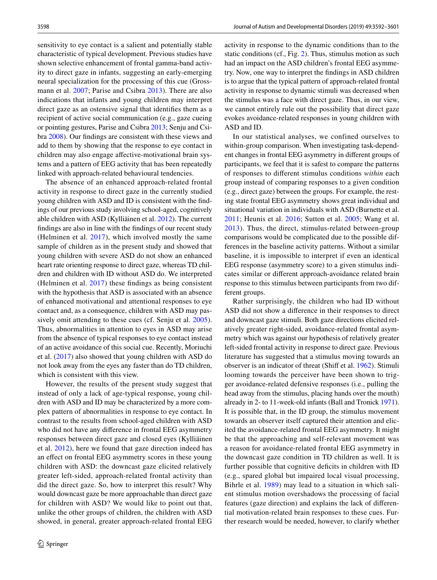sensitivity to eye contact is a salient and potentially stable characteristic of typical development. Previous studies have shown selective enhancement of frontal gamma-band activity to direct gaze in infants, suggesting an early-emerging neural specialization for the processing of this cue (Grossmann et al. [2007](#page-8-25); Parise and Csibra [2013\)](#page-8-26). There are also indications that infants and young children may interpret direct gaze as an ostensive signal that identifes them as a recipient of active social communication (e.g., gaze cueing or pointing gestures, Parise and Csibra [2013;](#page-8-26) Senju and Csibra [2008](#page-9-12)). Our fndings are consistent with these views and add to them by showing that the response to eye contact in children may also engage afective-motivational brain systems and a pattern of EEG activity that has been repeatedly linked with approach-related behavioural tendencies.

The absence of an enhanced approach-related frontal activity in response to direct gaze in the currently studied young children with ASD and ID is consistent with the fndings of our previous study involving school-aged, cognitively able children with ASD (Kylliäinen et al. [2012\)](#page-8-9). The current fndings are also in line with the fndings of our recent study (Helminen et al. [2017\)](#page-8-14), which involved mostly the same sample of children as in the present study and showed that young children with severe ASD do not show an enhanced heart rate orienting response to direct gaze, whereas TD children and children with ID without ASD do. We interpreted (Helminen et al. [2017\)](#page-8-14) these fndings as being consistent with the hypothesis that ASD is associated with an absence of enhanced motivational and attentional responses to eye contact and, as a consequence, children with ASD may pas-sively omit attending to these cues (cf. Senju et al. [2005](#page-9-13)). Thus, abnormalities in attention to eyes in ASD may arise from the absence of typical responses to eye contact instead of an active avoidance of this social cue. Recently, Moriuchi et al. ([2017\)](#page-8-13) also showed that young children with ASD do not look away from the eyes any faster than do TD children, which is consistent with this view.

However, the results of the present study suggest that instead of only a lack of age-typical response, young children with ASD and ID may be characterized by a more complex pattern of abnormalities in response to eye contact. In contrast to the results from school-aged children with ASD who did not have any diference in frontal EEG asymmetry responses between direct gaze and closed eyes (Kylliäinen et al. [2012\)](#page-8-9), here we found that gaze direction indeed has an efect on frontal EEG asymmetry scores in these young children with ASD: the downcast gaze elicited relatively greater left-sided, approach-related frontal activity than did the direct gaze. So, how to interpret this result? Why would downcast gaze be more approachable than direct gaze for children with ASD? We would like to point out that, unlike the other groups of children, the children with ASD showed, in general, greater approach-related frontal EEG activity in response to the dynamic conditions than to the static conditions (cf., Fig. [2](#page-5-0)). Thus, stimulus motion as such had an impact on the ASD children's frontal EEG asymmetry. Now, one way to interpret the fndings in ASD children is to argue that the typical pattern of approach-related frontal activity in response to dynamic stimuli was decreased when the stimulus was a face with direct gaze. Thus, in our view, we cannot entirely rule out the possibility that direct gaze evokes avoidance-related responses in young children with ASD and ID.

In our statistical analyses, we confined ourselves to within-group comparison. When investigating task-dependent changes in frontal EEG asymmetry in diferent groups of participants, we feel that it is safest to compare the patterns of responses to diferent stimulus conditions *within* each group instead of comparing responses to a given condition (e.g., direct gaze) between the groups. For example, the resting state frontal EEG asymmetry shows great individual and situational variation in individuals with ASD (Burnette et al. [2011;](#page-8-27) Heunis et al. [2016;](#page-8-28) Sutton et al. [2005;](#page-9-14) Wang et al. [2013](#page-9-15)). Thus, the direct, stimulus-related between-group comparisons would be complicated due to the possible differences in the baseline activity patterns. Without a similar baseline, it is impossible to interpret if even an identical EEG response (asymmetry score) to a given stimulus indicates similar or diferent approach-avoidance related brain response to this stimulus between participants from two different groups.

Rather surprisingly, the children who had ID without ASD did not show a diference in their responses to direct and downcast gaze stimuli. Both gaze directions elicited relatively greater right-sided, avoidance-related frontal asymmetry which was against our hypothesis of relatively greater left-sided frontal activity in response to direct gaze. Previous literature has suggested that a stimulus moving towards an observer is an indicator of threat (Shiff et al. [1962](#page-9-16)). Stimuli looming towards the perceiver have been shown to trigger avoidance-related defensive responses (i.e., pulling the head away from the stimulus, placing hands over the mouth) already in 2- to 11-week-old infants (Ball and Tronick [1971](#page-7-3)). It is possible that, in the ID group, the stimulus movement towards an observer itself captured their attention and elicited the avoidance-related frontal EEG asymmetry. It might be that the approaching and self-relevant movement was a reason for avoidance-related frontal EEG asymmetry in the downcast gaze condition in TD children as well. It is further possible that cognitive deficits in children with ID (e.g., spared global but impaired local visual processing, Bihrle et al. [1989](#page-7-4)) may lead to a situation in which salient stimulus motion overshadows the processing of facial features (gaze direction) and explains the lack of diferential motivation-related brain responses to these cues. Further research would be needed, however, to clarify whether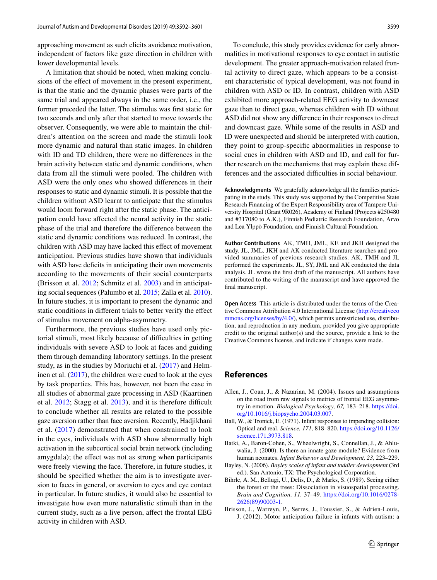approaching movement as such elicits avoidance motivation, independent of factors like gaze direction in children with lower developmental levels.

A limitation that should be noted, when making conclusions of the efect of movement in the present experiment, is that the static and the dynamic phases were parts of the same trial and appeared always in the same order, i.e., the former preceded the latter. The stimulus was frst static for two seconds and only after that started to move towards the observer. Consequently, we were able to maintain the children's attention on the screen and made the stimuli look more dynamic and natural than static images. In children with ID and TD children, there were no diferences in the brain activity between static and dynamic conditions, when data from all the stimuli were pooled. The children with ASD were the only ones who showed diferences in their responses to static and dynamic stimuli. It is possible that the children without ASD learnt to anticipate that the stimulus would loom forward right after the static phase. The anticipation could have afected the neural activity in the static phase of the trial and therefore the diference between the static and dynamic conditions was reduced. In contrast, the children with ASD may have lacked this effect of movement anticipation. Previous studies have shown that individuals with ASD have deficits in anticipating their own movements according to the movements of their social counterparts (Brisson et al. [2012;](#page-7-5) Schmitz et al. [2003](#page-9-17)) and in anticipating social sequences (Palumbo et al. [2015](#page-8-29); Zalla et al. [2010](#page-9-18)). In future studies, it is important to present the dynamic and static conditions in diferent trials to better verify the efect of stimulus movement on alpha-asymmetry.

Furthermore, the previous studies have used only pictorial stimuli, most likely because of difficulties in getting individuals with severe ASD to look at faces and guiding them through demanding laboratory settings. In the present study, as in the studies by Moriuchi et al. ([2017\)](#page-8-13) and Helminen et al.  $(2017)$  $(2017)$ , the children were cued to look at the eyes by task properties. This has, however, not been the case in all studies of abnormal gaze processing in ASD (Kaartinen et al.  $2012$ ; Stagg et al.  $2013$ ), and it is therefore difficult to conclude whether all results are related to the possible gaze aversion rather than face aversion. Recently, Hadjikhani et al. [\(2017](#page-8-30)) demonstrated that when constrained to look in the eyes, individuals with ASD show abnormally high activation in the subcortical social brain network (including amygdala); the efect was not as strong when participants were freely viewing the face. Therefore, in future studies, it should be specifed whether the aim is to investigate aversion to faces in general, or aversion to eyes and eye contact in particular. In future studies, it would also be essential to investigate how even more naturalistic stimuli than in the current study, such as a live person, afect the frontal EEG activity in children with ASD.

To conclude, this study provides evidence for early abnormalities in motivational responses to eye contact in autistic development. The greater approach-motivation related frontal activity to direct gaze, which appears to be a consistent characteristic of typical development, was not found in children with ASD or ID. In contrast, children with ASD exhibited more approach-related EEG activity to downcast gaze than to direct gaze, whereas children with ID without ASD did not show any diference in their responses to direct and downcast gaze. While some of the results in ASD and ID were unexpected and should be interpreted with caution, they point to group-specifc abnormalities in response to social cues in children with ASD and ID, and call for further research on the mechanisms that may explain these differences and the associated difficulties in social behaviour.

**Acknowledgments** We gratefully acknowledge all the families participating in the study. This study was supported by the Competitive State Research Financing of the Expert Responsibility area of Tampere University Hospital (Grant 9R026), Academy of Finland (Projects #250480 and #317080 to A.K.), Finnish Pediatric Research Foundation, Arvo and Lea Ylppö Foundation, and Finnish Cultural Foundation.

**Author Contributions** AK, TMH, JML, KE and JKH designed the study. JL, JML, JKH and AK conducted literature searches and provided summaries of previous research studies. AK, TMH and JL performed the experiments. JL, SY, JML and AK conducted the data analysis. JL wrote the frst draft of the manuscript. All authors have contributed to the writing of the manuscript and have approved the fnal manuscript.

**Open Access** This article is distributed under the terms of the Creative Commons Attribution 4.0 International License ([http://creativeco](http://creativecommons.org/licenses/by/4.0/) [mmons.org/licenses/by/4.0/](http://creativecommons.org/licenses/by/4.0/)), which permits unrestricted use, distribution, and reproduction in any medium, provided you give appropriate credit to the original author(s) and the source, provide a link to the Creative Commons license, and indicate if changes were made.

# **References**

- <span id="page-7-2"></span>Allen, J., Coan, J., & Nazarian, M. (2004). Issues and assumptions on the road from raw signals to metrics of frontal EEG asymmetry in emotion. *Biological Psychology, 67,* 183–218. [https://doi.](https://doi.org/10.1016/j.biopsycho.2004.03.007) [org/10.1016/j.biopsycho.2004.03.007.](https://doi.org/10.1016/j.biopsycho.2004.03.007)
- <span id="page-7-3"></span>Ball, W., & Tronick, E. (1971). Infant responses to impending collision: Optical and real. *Science, 171,* 818–820. [https://doi.org/10.1126/](https://doi.org/10.1126/science.171.3973.818) [science.171.3973.818.](https://doi.org/10.1126/science.171.3973.818)
- <span id="page-7-0"></span>Batki, A., Baron-Cohen, S., Wheelwright, S., Connellan, J., & Ahluwalia, J. (2000). Is there an innate gaze module? Evidence from human neonates. *Infant Behavior and Development, 23,* 223–229.
- <span id="page-7-1"></span>Bayley, N. (2006). *Bayley scales of infant and toddler development* (3rd ed.). San Antonio, TX: The Psychological Corporation.
- <span id="page-7-4"></span>Bihrle, A. M., Bellugi, U., Delis, D., & Marks, S. (1989). Seeing either the forest or the trees: Dissociation in visuospatial processing. *Brain and Cognition, 11,* 37–49. [https://doi.org/10.1016/0278-](https://doi.org/10.1016/0278-2626(89)90003-1) [2626\(89\)90003-1](https://doi.org/10.1016/0278-2626(89)90003-1).
- <span id="page-7-5"></span>Brisson, J., Warreyn, P., Serres, J., Foussier, S., & Adrien-Louis, J. (2012). Motor anticipation failure in infants with autism: a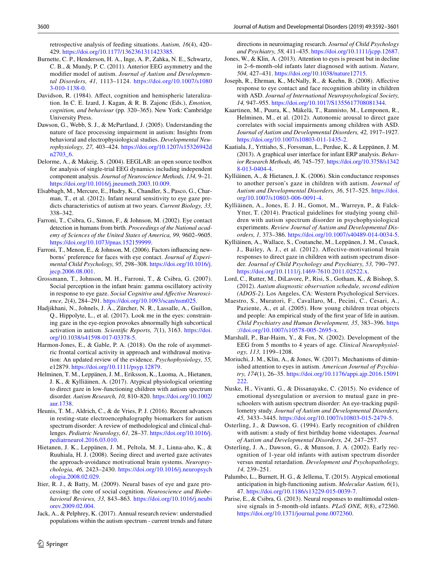retrospective analysis of feeding situations. *Autism, 16*(4), 420– 429. [https://doi.org/10.1177/1362361311423385.](https://doi.org/10.1177/1362361311423385)

- <span id="page-8-27"></span>Burnette, C. P., Henderson, H. A., Inge, A. P., Zahka, N. E., Schwartz, C. B., & Mundy, P. C. (2011). Anterior EEG asymmetry and the modifer model of autism. *Journal of Autism and Developmental Disorders, 41,* 1113–1124. [https://doi.org/10.1007/s1080](https://doi.org/10.1007/s10803-010-1138-0) [3-010-1138-0](https://doi.org/10.1007/s10803-010-1138-0).
- <span id="page-8-15"></span>Davidson, R. (1984). Affect, cognition and hemispheric lateralization. In C. E. Izard, J. Kagan, & R. B. Zajonc (Eds.), *Emotion, cognition, and behaviour* (pp. 320–365). New York: Cambridge University Press.
- <span id="page-8-7"></span>Dawson, G., Webb, S. J., & McPartland, J. (2005). Understanding the nature of face processing impairment in autism: Insights from behavioral and electrophysiological studies. *Developmental Neurophysiology, 27,* 403–424. [https://doi.org/10.1207/s15326942d](https://doi.org/10.1207/s15326942dn2703_6) [n2703\\_6](https://doi.org/10.1207/s15326942dn2703_6).
- <span id="page-8-22"></span>Delorme, A., & Makeig, S. (2004). EEGLAB: an open source toolbox for analysis of single-trial EEG dynamics including independent component analysis. *Journal of Neuroscience Methods, 134,* 9–21. [https://doi.org/10.1016/j.jneumeth.2003.10.009.](https://doi.org/10.1016/j.jneumeth.2003.10.009)
- <span id="page-8-6"></span>Elsabbagh, M., Mercure, E., Hudry, K., Chandler, S., Pasco, G., Charman, T., et al. (2012). Infant neural sensitivity to eye gaze predicts characteristics of autism at two years. *Current Biology, 33,* 338–342.
- <span id="page-8-0"></span>Farroni, T., Csibra, G., Simon, F., & Johnson, M. (2002). Eye contact detection in humans from birth. *Proceedings of the National academy of Sciences of the United States of America, 99,* 9602–9605. [https://doi.org/10.1073/pnas.152159999.](https://doi.org/10.1073/pnas.152159999)
- <span id="page-8-1"></span>Farroni, T., Menon, E., & Johnson, M. (2006). Factors infuencing newborns' preference for faces with eye contact. *Journal of Experimental Child Psychology, 95,* 298–308. [https://doi.org/10.1016/j.](https://doi.org/10.1016/j.jecp.2006.08.001) [jecp.2006.08.001](https://doi.org/10.1016/j.jecp.2006.08.001).
- <span id="page-8-25"></span>Grossmann, T., Johnson, M. H., Farroni, T., & Csibra, G. (2007). Social perception in the infant brain: gamma oscillatory activity in response to eye gaze. *Social Cognitive and Afective Neuroscience, 2*(4), 284–291. [https://doi.org/10.1093/scan/nsm025.](https://doi.org/10.1093/scan/nsm025)
- <span id="page-8-30"></span>Hadjikhani, N., Johnels, J. Å., Zürcher, N. R., Lassalle, A., Guillon, Q., Hippolyte, L., et al. (2017). Look me in the eyes: constraining gaze in the eye-region provokes abnormally high subcortical activation in autism. *Scientifc Reports, 7*(1), 3163. [https://doi.](https://doi.org/10.1038/s41598-017-03378-5) [org/10.1038/s41598-017-03378-5](https://doi.org/10.1038/s41598-017-03378-5).
- <span id="page-8-16"></span>Harmon-Jones, E., & Gable, P. A. (2018). On the role of asymmetric frontal cortical activity in approach and withdrawal motivation: An updated review of the evidence. *Psychophysiology, 55,* e12879. [https://doi.org/10.1111/psyp.12879.](https://doi.org/10.1111/psyp.12879)
- <span id="page-8-14"></span>Helminen, T. M., Leppänen, J. M., Eriksson, K., Luoma, A., Hietanen, J. K., & Kylliäinen, A. (2017). Atypical physiological orienting to direct gaze in low-functioning children with autism spectrum disorder. *Autism Research, 10,* 810–820. [https://doi.org/10.1002/](https://doi.org/10.1002/aur.1738) [aur.1738.](https://doi.org/10.1002/aur.1738)
- <span id="page-8-28"></span>Heunis, T. M., Aldrich, C., & de Vries, P. J. (2016). Recent advances in resting-state electroencephalography biomarkers for autism spectrum disorder: A review of methodological and clinical challenges. *Pediatric Neurology, 61,* 28–37. [https://doi.org/10.1016/j.](https://doi.org/10.1016/j.pediatrneurol.2016.03.010) [pediatrneurol.2016.03.010](https://doi.org/10.1016/j.pediatrneurol.2016.03.010).
- <span id="page-8-17"></span>Hietanen, J. K., Leppänen, J. M., Peltola, M. J., Linna-aho, K., & Ruuhiala, H. J. (2008). Seeing direct and averted gaze activates the approach-avoidance motivational brain systems. *Neuropsychologia, 46,* 2423–2430. [https://doi.org/10.1016/j.neuropsych](https://doi.org/10.1016/j.neuropsychologia.2008.02.029) [ologia.2008.02.029.](https://doi.org/10.1016/j.neuropsychologia.2008.02.029)
- <span id="page-8-18"></span>Itier, R. J., & Batty, M. (2009). Neural bases of eye and gaze processing: the core of social cognition. *Neuroscience and Biobehavioral Reviews, 33,* 843–863. [https://doi.org/10.1016/j.neubi](https://doi.org/10.1016/j.neubiorev.2009.02.004) [orev.2009.02.004.](https://doi.org/10.1016/j.neubiorev.2009.02.004)
- <span id="page-8-19"></span>Jack, A., & Pelphrey, K. (2017). Annual research review: understudied populations within the autism spectrum - current trends and future

directions in neuroimaging research. *Journal of Child Psychology and Psychiatry, 58,* 411–435.<https://doi.org/10.1111/jcpp.12687>.

- <span id="page-8-5"></span>Jones, W., & Klin, A. (2013). Attention to eyes is present but in decline in 2–6-month-old infants later diagnosed with autism. *Nature, 504,* 427–431. [https://doi.org/10.1038/nature12715.](https://doi.org/10.1038/nature12715)
- <span id="page-8-10"></span>Joseph, R., Ehrman, K., McNally, R., & Keehn, B. (2008). Afective response to eye contact and face recognition ability in children with ASD. *Journal of International Neuropsychological Society, 14,* 947–955. [https://doi.org/10.1017/S1355617708081344.](https://doi.org/10.1017/S1355617708081344)
- <span id="page-8-11"></span>Kaartinen, M., Puura, K., Mäkelä, T., Rannisto, M., Lemponen, R., Helminen, M., et al. (2012). Autonomic arousal to direct gaze correlates with social impairments among children with ASD. *Journal of Autism and Developmental Disorders, 42,* 1917–1927. <https://doi.org/10.1007/s10803-011-1435-2>.
- <span id="page-8-23"></span>Kaatiala, J., Yrttiaho, S., Forssman, L., Perdue, K., & Leppänen, J. M. (2013). A graphical user interface for infant ERP analysis. *Behavior Research Methods, 46,* 745–757. [https://doi.org/10.3758/s1342](https://doi.org/10.3758/s13428-013-0404-4) [8-013-0404-4](https://doi.org/10.3758/s13428-013-0404-4).
- <span id="page-8-8"></span>Kylliäinen, A., & Hietanen, J. K. (2006). Skin conductance responses to another person's gaze in children with autism. *Journal of Autism and Developmental Disorders, 36,* 517–525. [https://doi.](https://doi.org/10.1007/s10803-006-0091-4) [org/10.1007/s10803-006-0091-4](https://doi.org/10.1007/s10803-006-0091-4).
- <span id="page-8-21"></span>Kylliäinen, A., Jones, E. J. H., Gomot, M., Warreyn, P., & Falck-Ytter, T. (2014). Practical guidelines for studying young children with autism spectrum disorder in psychophysiological experiments. *Review Journal of Autism and Developmental Disorders, 1,* 373–386.<https://doi.org/10.1007/s40489-014-0034-5>.
- <span id="page-8-9"></span>Kylliäinen, A., Wallace, S., Coutanche, M., Leppänen, J. M., Cusack, J., Bailey, A. J., et al. (2012). Afective-motivational brain responses to direct gaze in children with autism spectrum disorder. *Journal of Child Psychology and Psychiatry, 53,* 790–797. <https://doi.org/10.1111/j.1469-7610.2011.02522.x>.
- <span id="page-8-20"></span>Lord, C., Rutter, M., DiLavore, P., Risi, S., Gotham, K., & Bishop, S. (2012). *Autism diagnostic observation schedule, second edition (ADOS-2)*. Los Angeles, CA: Western Psychological Services.
- <span id="page-8-2"></span>Maestro, S., Muratori, F., Cavallaro, M., Pecini, C., Cesari, A., Paziente, A., et al. (2005). How young children treat objects and people: An empirical study of the frst year of life in autism. *Child Psychiatry and Human Development, 35,* 383–396. [https](https://doi.org/10.1007/s10578-005-2695-x) [://doi.org/10.1007/s10578-005-2695-x.](https://doi.org/10.1007/s10578-005-2695-x)
- <span id="page-8-24"></span>Marshall, P., Bar-Haim, Y., & Fox, N. (2002). Development of the EEG from 5 months to 4 years of age. *Clinical Neurophysiology, 113,* 1199–1208.
- <span id="page-8-13"></span>Moriuchi, J. M., Klin, A., & Jones, W. (2017). Mechanisms of diminished attention to eyes in autism. *American Journal of Psychiatry, 174*(1), 26–35. [https://doi.org/10.1176/appi.ajp.2016.15091](https://doi.org/10.1176/appi.ajp.2016.15091222) [222](https://doi.org/10.1176/appi.ajp.2016.15091222).
- <span id="page-8-12"></span>Nuske, H., Vivanti, G., & Dissanayake, C. (2015). No evidence of emotional dysregulation or aversion to mutual gaze in preschoolers with autism spectrum disorder: An eye-tracking pupillometry study. *Journal of Autism and Developmental Disorders, 45,* 3433–3445. <https://doi.org/10.1007/s10803-015-2479-5>.
- <span id="page-8-3"></span>Osterling, J., & Dawson, G. (1994). Early recognition of children with autism: a study of frst birthday home videotapes. *Journal of Autism and Developmental Disorders, 24,* 247–257.
- <span id="page-8-4"></span>Osterling, J. A., Dawson, G., & Munson, J. A. (2002). Early recognition of 1-year old infants with autism spectrum disorder versus mental retardation. *Development and Psychopathology, 14,* 239–251.
- <span id="page-8-29"></span>Palumbo, L., Burnett, H. G., & Jellema, T. (2015). Atypical emotional anticipation in high-functioning autism. *Molecular Autism, 6*(1), 47. [https://doi.org/10.1186/s13229-015-0039-7.](https://doi.org/10.1186/s13229-015-0039-7)
- <span id="page-8-26"></span>Parise, E., & Csibra, G. (2013). Neural responses to multimodal ostensive signals in 5-month-old infants. *PLoS ONE, 8*(8), e72360. [https://doi.org/10.1371/journal.pone.0072360.](https://doi.org/10.1371/journal.pone.0072360)